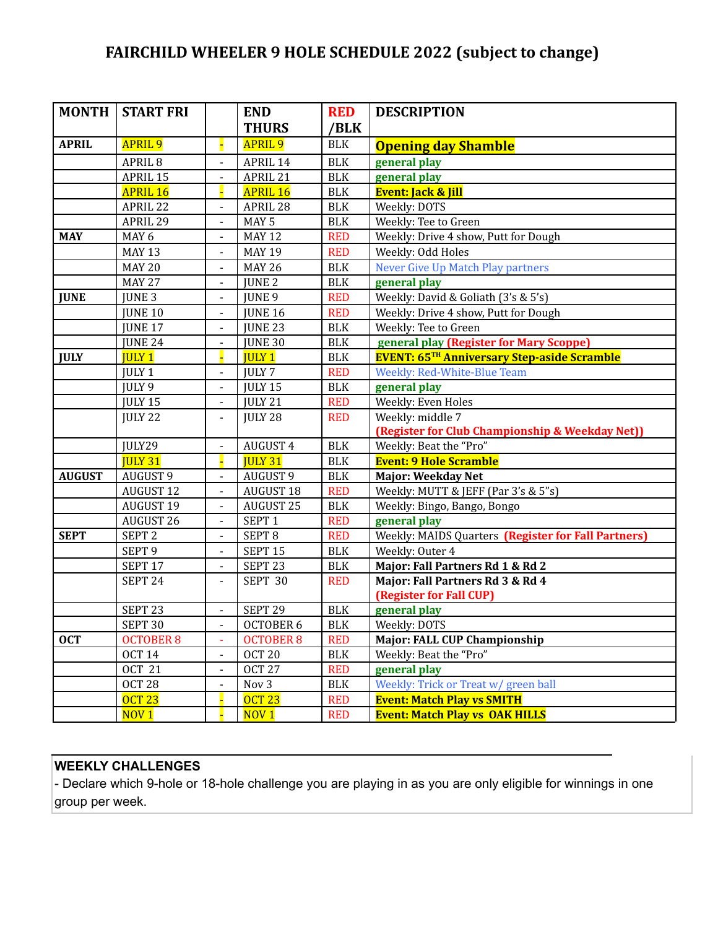## **FAIRCHILD WHEELER 9 HOLE SCHEDULE 2022 (subject to change)**

| MONTH         | <b>START FRI</b>   |                              | <b>END</b>         | <b>RED</b>           | <b>DESCRIPTION</b>                                  |
|---------------|--------------------|------------------------------|--------------------|----------------------|-----------------------------------------------------|
|               |                    |                              | <b>THURS</b>       | /BLK                 |                                                     |
| <b>APRIL</b>  | <b>APRIL 9</b>     |                              | <b>APRIL 9</b>     | <b>BLK</b>           | <b>Opening day Shamble</b>                          |
|               | APRIL <sub>8</sub> | $\blacksquare$               | APRIL 14           | <b>BLK</b>           | general play                                        |
|               | APRIL 15           | $\blacksquare$               | APRIL 21           | $\operatorname{BLK}$ | general play                                        |
|               | <b>APRIL 16</b>    | Ц                            | <b>APRIL 16</b>    | $\operatorname{BLK}$ | <b>Event: Jack &amp; Jill</b>                       |
|               | APRIL 22           |                              | APRIL 28           | <b>BLK</b>           | Weekly: DOTS                                        |
|               | APRIL 29           | $\qquad \qquad \blacksquare$ | MAY <sub>5</sub>   | <b>BLK</b>           | Weekly: Tee to Green                                |
| <b>MAY</b>    | MAY 6              | $\blacksquare$               | <b>MAY 12</b>      | <b>RED</b>           | Weekly: Drive 4 show, Putt for Dough                |
|               | <b>MAY 13</b>      | $\blacksquare$               | <b>MAY 19</b>      | <b>RED</b>           | Weekly: Odd Holes                                   |
|               | <b>MAY 20</b>      | $\blacksquare$               | <b>MAY 26</b>      | <b>BLK</b>           | <b>Never Give Up Match Play partners</b>            |
|               | <b>MAY 27</b>      | $\overline{a}$               | JUNE <sub>2</sub>  | $\operatorname{BLK}$ | general play                                        |
| <b>JUNE</b>   | JUNE <sub>3</sub>  |                              | JUNE 9             | <b>RED</b>           | Weekly: David & Goliath (3's & 5's)                 |
|               | <b>JUNE 10</b>     |                              | <b>JUNE 16</b>     | <b>RED</b>           | Weekly: Drive 4 show, Putt for Dough                |
|               | JUNE 17            | $\qquad \qquad \blacksquare$ | JUNE 23            | <b>BLK</b>           | Weekly: Tee to Green                                |
|               | <b>JUNE 24</b>     | $\blacksquare$               | JUNE 30            | <b>BLK</b>           | general play (Register for Mary Scoppe)             |
| <b>JULY</b>   | <b>JULY 1</b>      | Н                            | <b>JULY 1</b>      | <b>BLK</b>           | <b>EVENT: 65TH Anniversary Step-aside Scramble</b>  |
|               | JULY <sub>1</sub>  | $\blacksquare$               | <b>JULY 7</b>      | <b>RED</b>           | Weekly: Red-White-Blue Team                         |
|               | JULY 9             | $\blacksquare$               | JULY 15            | <b>BLK</b>           | general play                                        |
|               | JULY 15            | $\blacksquare$               | JULY 21            | <b>RED</b>           | Weekly: Even Holes                                  |
|               | JULY 22            | $\blacksquare$               | JULY 28            | <b>RED</b>           | Weekly: middle 7                                    |
|               |                    |                              |                    |                      | (Register for Club Championship & Weekday Net))     |
|               | JULY29             | $\overline{a}$               | <b>AUGUST 4</b>    | <b>BLK</b>           | Weekly: Beat the "Pro"                              |
|               | <b>JULY 31</b>     | E                            | <b>JULY 31</b>     | <b>BLK</b>           | <b>Event: 9 Hole Scramble</b>                       |
| <b>AUGUST</b> | AUGUST 9           | $\blacksquare$               | AUGUST 9           | <b>BLK</b>           | Major: Weekday Net                                  |
|               | <b>AUGUST 12</b>   | $\blacksquare$               | <b>AUGUST 18</b>   | <b>RED</b>           | Weekly: MUTT & JEFF (Par 3's & 5"s)                 |
|               | AUGUST 19          |                              | AUGUST 25          | <b>BLK</b>           | Weekly: Bingo, Bango, Bongo                         |
|               | AUGUST 26          | $\blacksquare$               | SEPT <sub>1</sub>  | <b>RED</b>           | general play                                        |
| <b>SEPT</b>   | SEPT <sub>2</sub>  | $\blacksquare$               | SEPT <sub>8</sub>  | <b>RED</b>           | Weekly: MAIDS Quarters (Register for Fall Partners) |
|               | SEPT <sub>9</sub>  | $\blacksquare$               | SEPT <sub>15</sub> | <b>BLK</b>           | Weekly: Outer 4                                     |
|               | SEPT 17            |                              | SEPT <sub>23</sub> | <b>BLK</b>           | Major: Fall Partners Rd 1 & Rd 2                    |
|               | SEPT <sub>24</sub> | $\blacksquare$               | SEPT 30            | <b>RED</b>           | Major: Fall Partners Rd 3 & Rd 4                    |
|               |                    |                              |                    |                      | (Register for Fall CUP)                             |
|               | SEPT <sub>23</sub> | $\blacksquare$               | SEPT <sub>29</sub> | <b>BLK</b>           | general play                                        |
|               | SEPT 30            |                              | OCTOBER 6          | BLK                  | Weekly: DOTS                                        |
| <b>OCT</b>    | <b>OCTOBER 8</b>   |                              | <b>OCTOBER 8</b>   | <b>RED</b>           | Major: FALL CUP Championship                        |
|               | <b>OCT 14</b>      | $\qquad \qquad \blacksquare$ | OCT <sub>20</sub>  | <b>BLK</b>           | Weekly: Beat the "Pro"                              |
|               | <b>OCT 21</b>      | $\blacksquare$               | <b>OCT 27</b>      | <b>RED</b>           | general play                                        |
|               | OCT <sub>28</sub>  | $\blacksquare$               | Nov 3              | $BLK$                | Weekly: Trick or Treat w/ green ball                |
|               | <b>OCT 23</b>      |                              | <b>OCT 23</b>      | <b>RED</b>           | <b>Event: Match Play vs SMITH</b>                   |
|               | NOV <sub>1</sub>   |                              | NOV1               | <b>RED</b>           | <b>Event: Match Play vs OAK HILLS</b>               |

## **WEEKLY CHALLENGES**

- Declare which 9-hole or 18-hole challenge you are playing in as you are only eligible for winnings in one group per week.